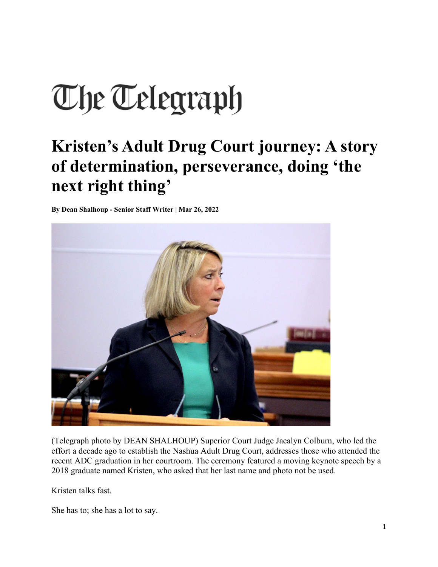## The Telegraph

## **Kristen's Adult Drug Court journey: A story of determination, perseverance, doing 'the next right thing'**

**By Dean Shalhoup - Senior Staff Writer | Mar 26, 2022**



(Telegraph photo by DEAN SHALHOUP) Superior Court Judge Jacalyn Colburn, who led the effort a decade ago to establish the Nashua Adult Drug Court, addresses those who attended the recent ADC graduation in her courtroom. The ceremony featured a moving keynote speech by a 2018 graduate named Kristen, who asked that her last name and photo not be used.

Kristen talks fast.

She has to; she has a lot to say.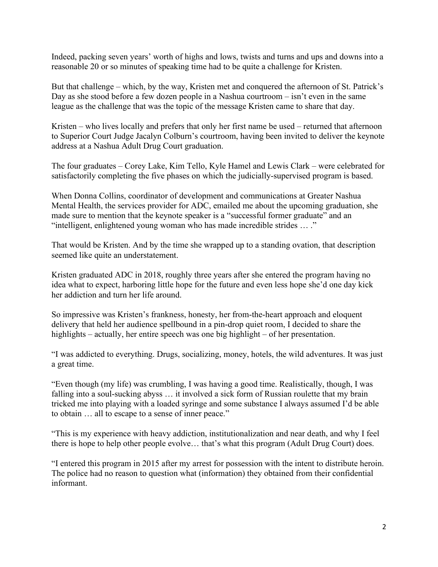Indeed, packing seven years' worth of highs and lows, twists and turns and ups and downs into a reasonable 20 or so minutes of speaking time had to be quite a challenge for Kristen.

But that challenge – which, by the way, Kristen met and conquered the afternoon of St. Patrick's Day as she stood before a few dozen people in a Nashua courtroom – isn't even in the same league as the challenge that was the topic of the message Kristen came to share that day.

Kristen – who lives locally and prefers that only her first name be used – returned that afternoon to Superior Court Judge Jacalyn Colburn's courtroom, having been invited to deliver the keynote address at a Nashua Adult Drug Court graduation.

The four graduates – Corey Lake, Kim Tello, Kyle Hamel and Lewis Clark – were celebrated for satisfactorily completing the five phases on which the judicially-supervised program is based.

When Donna Collins, coordinator of development and communications at Greater Nashua Mental Health, the services provider for ADC, emailed me about the upcoming graduation, she made sure to mention that the keynote speaker is a "successful former graduate" and an "intelligent, enlightened young woman who has made incredible strides … ."

That would be Kristen. And by the time she wrapped up to a standing ovation, that description seemed like quite an understatement.

Kristen graduated ADC in 2018, roughly three years after she entered the program having no idea what to expect, harboring little hope for the future and even less hope she'd one day kick her addiction and turn her life around.

So impressive was Kristen's frankness, honesty, her from-the-heart approach and eloquent delivery that held her audience spellbound in a pin-drop quiet room, I decided to share the highlights – actually, her entire speech was one big highlight – of her presentation.

"I was addicted to everything. Drugs, socializing, money, hotels, the wild adventures. It was just a great time.

"Even though (my life) was crumbling, I was having a good time. Realistically, though, I was falling into a soul-sucking abyss ... it involved a sick form of Russian roulette that my brain tricked me into playing with a loaded syringe and some substance I always assumed I'd be able to obtain … all to escape to a sense of inner peace."

"This is my experience with heavy addiction, institutionalization and near death, and why I feel there is hope to help other people evolve… that's what this program (Adult Drug Court) does.

"I entered this program in 2015 after my arrest for possession with the intent to distribute heroin. The police had no reason to question what (information) they obtained from their confidential informant.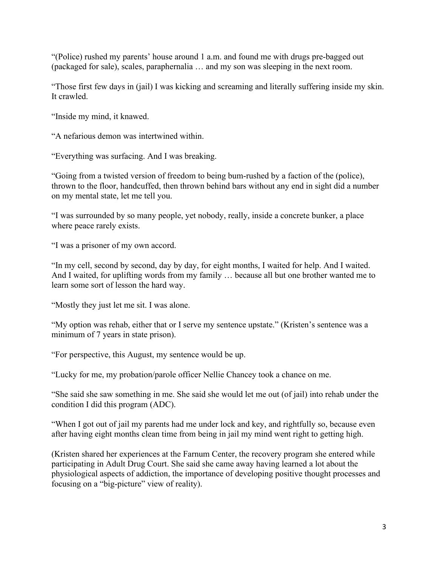"(Police) rushed my parents' house around 1 a.m. and found me with drugs pre-bagged out (packaged for sale), scales, paraphernalia … and my son was sleeping in the next room.

"Those first few days in (jail) I was kicking and screaming and literally suffering inside my skin. It crawled.

"Inside my mind, it knawed.

"A nefarious demon was intertwined within.

"Everything was surfacing. And I was breaking.

"Going from a twisted version of freedom to being bum-rushed by a faction of the (police), thrown to the floor, handcuffed, then thrown behind bars without any end in sight did a number on my mental state, let me tell you.

"I was surrounded by so many people, yet nobody, really, inside a concrete bunker, a place where peace rarely exists.

"I was a prisoner of my own accord.

"In my cell, second by second, day by day, for eight months, I waited for help. And I waited. And I waited, for uplifting words from my family … because all but one brother wanted me to learn some sort of lesson the hard way.

"Mostly they just let me sit. I was alone.

"My option was rehab, either that or I serve my sentence upstate." (Kristen's sentence was a minimum of 7 years in state prison).

"For perspective, this August, my sentence would be up.

"Lucky for me, my probation/parole officer Nellie Chancey took a chance on me.

"She said she saw something in me. She said she would let me out (of jail) into rehab under the condition I did this program (ADC).

"When I got out of jail my parents had me under lock and key, and rightfully so, because even after having eight months clean time from being in jail my mind went right to getting high.

(Kristen shared her experiences at the Farnum Center, the recovery program she entered while participating in Adult Drug Court. She said she came away having learned a lot about the physiological aspects of addiction, the importance of developing positive thought processes and focusing on a "big-picture" view of reality).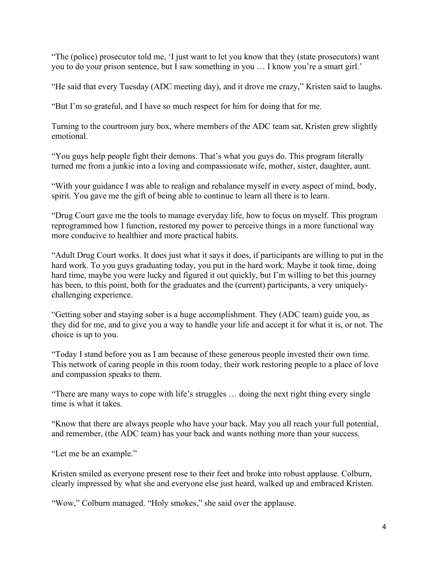"The (police) prosecutor told me, 'I just want to let you know that they (state prosecutors) want you to do your prison sentence, but I saw something in you … I know you're a smart girl.'

"He said that every Tuesday (ADC meeting day), and it drove me crazy," Kristen said to laughs.

"But I'm so grateful, and I have so much respect for him for doing that for me.

Turning to the courtroom jury box, where members of the ADC team sat, Kristen grew slightly emotional.

"You guys help people fight their demons. That's what you guys do. This program literally turned me from a junkie into a loving and compassionate wife, mother, sister, daughter, aunt.

"With your guidance I was able to realign and rebalance myself in every aspect of mind, body, spirit. You gave me the gift of being able to continue to learn all there is to learn.

"Drug Court gave me the tools to manage everyday life, how to focus on myself. This program reprogrammed how I function, restored my power to perceive things in a more functional way more conducive to healthier and more practical habits.

"Adult Drug Court works. It does just what it says it does, if participants are willing to put in the hard work. To you guys graduating today, you put in the hard work. Maybe it took time, doing hard time, maybe you were lucky and figured it out quickly, but I'm willing to bet this journey has been, to this point, both for the graduates and the (current) participants, a very uniquelychallenging experience.

"Getting sober and staying sober is a huge accomplishment. They (ADC team) guide you, as they did for me, and to give you a way to handle your life and accept it for what it is, or not. The choice is up to you.

"Today I stand before you as I am because of these generous people invested their own time. This network of caring people in this room today, their work restoring people to a place of love and compassion speaks to them.

"There are many ways to cope with life's struggles … doing the next right thing every single time is what it takes.

"Know that there are always people who have your back. May you all reach your full potential, and remember, (the ADC team) has your back and wants nothing more than your success.

"Let me be an example."

Kristen smiled as everyone present rose to their feet and broke into robust applause. Colburn, clearly impressed by what she and everyone else just heard, walked up and embraced Kristen.

"Wow," Colburn managed. "Holy smokes," she said over the applause.